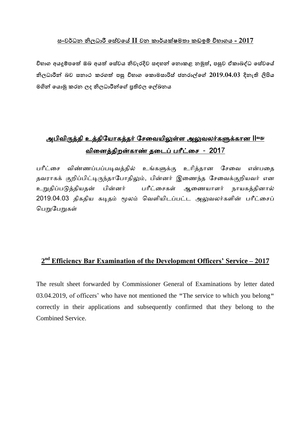#### **සංලර්ධන නිධාරී සසේලසේ II ලන කාර්යක්ෂභතා කඩඉම් විබාගය - 2017**

**විබාග අයදුම්ඳසේ ඔඵ අයේ සසේලය නිලැරදිල සහන් සනොකළ නමුේ, ඳසුල ඒකාඵද්ධ සසේලසේ නිධාරීන් ඵල සනාථ කරගේ ඳසු විබාග සකොභසාරිස් ජනරාල්සේ 2019.04.03 දිනැති ලිපිය භගින් සයොමු කරන ද නිධාරීන්සේ ප්රතිප සල්ඛනය**

# <u>அபிவிருத்தி உத்தியோகத்தர் சேவையிலுள்ள அலுவலர்களுக்கான II<sup>வது</sup></u> விவத்திறன்கோண் தவைப் ோீட்வே - 2017

பரீட்சை விண்ணப்பப்படிவத்தில் உங்களுக்கு உரித்தான சேவை என்பதை தவராகக் குறிப்பிட்டிருந்தாபோதிலும், பின்னர் இணைந்த சேவைக்குறியவர் என உறுதிப்டுத்தியதன் ின்ர் ோீட்வேகள் ஆவணயோளர் ோயகத்திோல் 2019.04.03 திகதிய கடிதம் மூலம் வெளியிடப்பட்ட அலுவலர்களின் பரீட்சைப் பெறுகள்

# **2 nd Efficiency Bar Examination of the Development Officers' Service – 2017**

The result sheet forwarded by Commissioner General of Examinations by letter dated 03.04.2019, of officers' who have not mentioned the "The service to which you belong" correctly in their applications and subsequently confirmed that they belong to the Combined Service.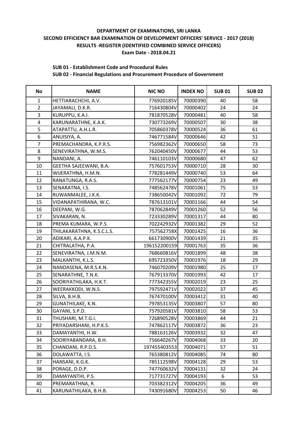# **SUB 01 - Establishment Code and Procedural Rules**

| No             | <b>NAME</b>               | <b>NIC NO</b> | <b>INDEX NO</b> | <b>SUB01</b> | <b>SUB 02</b> |
|----------------|---------------------------|---------------|-----------------|--------------|---------------|
| $\mathbf{1}$   | HETTIARACHCHI, A.V.       | 776920185V    | 70000390        | 40           | 58            |
| $\overline{2}$ | JAYAMALI, D.K.R.          | 716430804V    | 70000402        | 24           | 24            |
| 3              | KURUPPU, K.A.I.           | 781870528V    | 70000481        | 40           | 58            |
| $\overline{4}$ | KARUNARATHNE, K.A.K.      | 730773269V    | 70000507        | 30           | 38            |
| 5              | ATAPATTU, A.H.L.R.        | 705860378V    | 70000524        | 36           | 61            |
| $\overline{6}$ | ANUISIYA, A.              | 746771584V    | 70000646        | 42           | 51            |
| $\overline{7}$ | PREMACHANDRA, K.P.R.S.    | 756982362V    | 70000650        | 58           | 73            |
| 8              | SENEVIRATHNA, W.M.S.      | 762040450V    | 70000677        | 44           | 53            |
| 9              | NANDANI, A.               | 746110103V    | 70000680        | 47           | 62            |
| 10             | GEETHA SAJEEWANI, B.A.    | 757601753V    | 70000710        | 28           | 30            |
| 11             | WIJERATHNA, H.M.N.        | 778281449V    | 70000740        | 53           | 64            |
| 12             | RANATUNGA, R.A.S.         | 777562177V    | 70000754        | 23           | 49            |
| 13             | SENARATNA, I.S.           | 748562478V    | 70001061        | 75           | 53            |
| 14             | RUWANMALEE, J.K.K.        | 738650042V    | 70001092        | 72           | 79            |
| 15             | VIDANAPATHIRANA, W.C.     | 787613101V    | 70001166        | 44           | 54            |
| 16             | DEEPANI, W.G.             | 787062849V    | 70001260        | 52           | 56            |
| 17             | SIVAKARAN, N.             | 723330289V    | 70001317        | 44           | 80            |
| 18             | PREMA KUMARA, W.P.S.      | 702242932V    | 70001382        | 29           | 52            |
| 19             | THILAKARATHNA, K.S.C.L.S. | 757562758X    | 70001425        | 16           | 36            |
| 20             | ADIKARI, A.A.P.K.         | 661730900V    | 70001439        | 21           | 35            |
| 21             | CHITRALATHA, P.A.         | 196152200159  | 70001763        | 35           | 36            |
| 22             | SENEVIRATNA, J.M.N.M.     | 768660816V    | 70001899        | 48           | 38            |
| 23             | MALKANTHI, K.L.S.         | 695723350V    | 70001976        | 18           | 29            |
| 24             | NANDASENA, M.R.S.K.N.     | 746070209V    | 70001980        | 25           | 17            |
| 25             | SENARATHNE, T.N.K.        | 767913370V    | 70001993        | 42           | 17            |
| 26             | SOORIYATHILAKA, H.K.T.    | 777342355V    | 70002019        | 23           | 25            |
| 27             | WEERAKKODI, W.N.S.        | 797592471V    | 70002022        | 37           | 45            |
| 28             | SILVA, B.H.B.             | 767470100V    | 70003412        | 31           | 40            |
| 29             | GUNATHILAKE, K.N.         | 797853135V    | 70003807        | 57           | 80            |
| 30             | GAYANI, S.P.D.            | 757920581V    | 70003810        | 58           | 53            |
| 31             | THUSHARI, M.T.G.I.        | 726890528V    | 70003869        | 44           | 21            |
| 32             | PRIYADARSHANI, H.P.K.S.   | 747862117V    | 70003872        | 36           | 23            |
| 33             | DAMAYANTHI, H.W.          | 788163126V    | 70003932        | 32           | 47            |
| 34             | SOORIYABANDARA, B.H.      | 756640267V    | 70004068        | 33           | 20            |
| 35             | CHANDANI, R.P.D.S.        | 197455403553  | 70004071        | 57           | 51            |
| 36             | DOLAWATTA, I.S.           | 765380812V    | 70004085        | 74           | 80            |
| 37             | HANSANI, K.G.K.           | 785112598V    | 70004128        | 29           | 53            |
| 38             | PORAGE, D.D.P.            | 747760632V    | 70004131        | 32           | 24            |
| 39             | DAMAYANTHI, P.S.          | 717731727V    | 70004193        | 6            | 53            |
| 40             | PREMARATHNA, R.           | 703382312V    | 70004205        | 36           | 49            |
| 41             | KARUNATHILAKA, B.H.B.     | 743091680V    | 70004253        | 50           | 46            |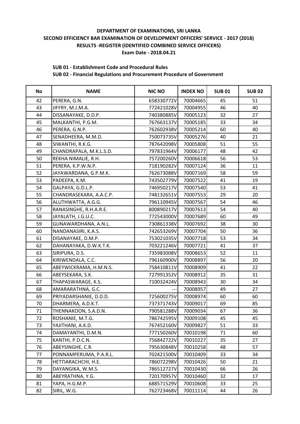#### **SUB 01 - Establishment Code and Procedural Rules**

| No | <b>NAME</b>             | <b>NIC NO</b> | <b>INDEX NO</b> | <b>SUB01</b> | <b>SUB 02</b> |
|----|-------------------------|---------------|-----------------|--------------|---------------|
| 42 | PERERA, G.N.            | 658330772V    | 70004665        | 45           | 51            |
| 43 | JIFFRY, M.J.M.A.        | 772421028V    | 70004955        | 46           | 40            |
| 44 | DISSANAYAKE, D.D.P.     | 740380885V    | 70005123        | 32           | 27            |
| 45 | MALKANTHI, P.G.M.       | 767663137V    | 70005185        | 33           | 34            |
| 46 | PERERA, G.N.P.          | 762602938V    | 70005214        | 60           | 40            |
| 47 | SENADHEERA, M.M.D.      | 750073735V    | 70005276        | 40           | 21            |
| 48 | SIWANTHI, R.K.G.        | 787642098V    | 70005808        | 51           | 55            |
| 49 | CHANDRAPALA, M.K.L.S.D. | 797831964V    | 70006177        | 48           | 42            |
| 50 | REKHA NIMALIE, R.H.     | 757200260V    | 70006618        | 56           | 53            |
| 51 | PERERA, K.P.W.N.P.      | 718190282V    | 70007124        | 36           | 11            |
| 52 | JAYAWARDANA, G.P.M.K.   | 762673088V    | 70007169        | 58           | 59            |
| 53 | PADEEPA, K.M.           | 743502779V    | 70007522        | 41           | 19            |
| 54 | GALPAYA, G.D.L.P.       | 746950217V    | 70007540        | 53           | 41            |
| 55 | CHANDRASEKARA, A.A.C.P. | 748132651V    | 70007553        | 29           | 20            |
| 56 | ALUTHWATTA, A.G.G.      | 796110945V    | 70007567        | 54           | 46            |
| 57 | RANASINGHE, R.H.A.R.E.  | 800890217V    | 70007613        | 54           | 40            |
| 58 | JAYALATH, J.G.U.C.      | 772543000V    | 70007689        | 60           | 49            |
| 59 | GUNAWARDHANA, A.N.L.    | 730861338V    | 70007692        | 38           | 30            |
| 60 | NANDANASIRI, K.A.S.     | 742653269V    | 70007704        | 50           | 36            |
| 61 | DISANAYAKE, D.M.P.      | 753021035V    | 70007718        | 53           | 34            |
| 62 | DAHANAYAKA, D.W.K.T.K.  | 703221246V    | 70007721        | 41           | 37            |
| 63 | SIRIPURA, D.S.          | 735983008V    | 70008653        | 52           | 11            |
| 64 | KIRIWENDALA, C.C.       | 796160900V    | 70008897        | 56           | 20            |
| 65 | ABEYWICKRAMA, H.M.N.S.  | 758410811V    | 70008909        | 41           | 22            |
| 66 | ABEYSEKARA, S.K.        | 727991352V    | 70008912        | 35           | 31            |
| 67 | THAPASWARAGE, K.S.      | 710032424V    | 70008943        | 30           | 34            |
| 68 | AMARARATHNA, G.C.       |               | 70008957        | 49           | 27            |
| 69 | PRIYADARSHANIE, D.D.D.  | 725600275V    | 70008974        | 60           | 60            |
| 70 | DHARMERA, A.D.K.T.      | 737371743V    | 70009017        | 69           | 85            |
| 71 | THENNAKOON, S.A.D.N.    | 790581288V    | 70009034        | 67           | 36            |
| 72 | ROSHANIE, M.T.G.        | 786742595V    | 70009108        | 45           | 45            |
| 73 | YAJITHANI, A.K.D.       | 767452160V    | 70009827        | 51           | 33            |
| 74 | DAMAYANTHI, D.M.N.      | 777150260V    | 70010198        | 71           | 60            |
| 75 | KANTHI, P.D.C.N.        | 756842722V    | 70010227        | 35           | 27            |
| 76 | ABEYSINGHE, C.R.        | 795630848V    | 70010258        | 48           | 57            |
| 77 | PONNAMPERUMA, P.A.R.L.  | 702421500V    | 70010409        | 33           | 34            |
| 78 | HETTIARACHCHI, H.E.     | 786072298V    | 70010426        | 50           | 21            |
| 79 | DAYANGIKA, W.M.S.       | 786512727V    | 70010430        | 66           | 26            |
| 80 | ABEYRATHNA, Y.G.        | 720170957V    | 70010460        | 32           | 17            |
| 81 | YAPA, H.G.M.P.          | 688571529V    | 70010608        | 33           | 25            |
| 82 | SIRIL, W.G.             | 762723468V    | 70011114        | 44           | 26            |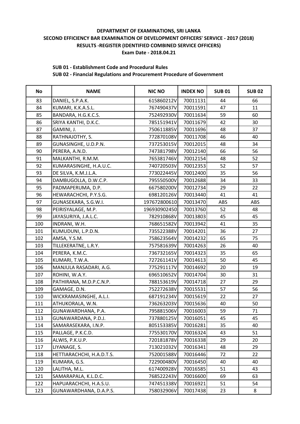#### **SUB 01 - Establishment Code and Procedural Rules**

| No  | <b>NAME</b>               | <b>NIC NO</b> | <b>INDEX NO</b> | <b>SUB01</b> | <b>SUB 02</b> |
|-----|---------------------------|---------------|-----------------|--------------|---------------|
| 83  | DANIEL, S.P.A.K.          | 615860212V    | 70011131        | 44           | 66            |
| 84  | KUMARI, K.K.A.S.L.        | 767490437V    | 70011591        | 47           | 11            |
| 85  | BANDARA, H.G.K.C.S.       | 752492930V    | 70011634        | 59           | 60            |
| 86  | SRIYA KANTHI, D.K.C.      | 785151941V    | 70011679        | 42           | 30            |
| 87  | GAMINI, J.                | 750611885V    | 70011696        | 48           | 37            |
| 88  | RATHNAJOTHY, S.           | 772870108V    | 70011708        | 46           | 40            |
| 89  | GUNASINGHE, U.D.P.N.      | 737253015V    | 70012015        | 48           | 34            |
| 90  | PERERA, A.N.D.            | 747381798V    | 70012140        | 66           | 56            |
| 91  | MALKANTHI, R.M.M.         | 765381746V    | 70012154        | 48           | 52            |
| 92  | KUMARASINGHE, H.A.U.C.    | 740720503V    | 70012353        | 52           | 57            |
| 93  | DE SILVA, K.M.J.L.A.      | 773022445V    | 70012400        | 35           | 56            |
| 94  | DAMBUGOLLA, D.W.C.P.      | 795550500V    | 70012688        | 34           | 33            |
| 95  | PADMAPERUMA, D.P.         | 667580200V    | 70012734        | 29           | 22            |
| 96  | HEWARACHCHI, P.Y.S.G.     | 698120126V    | 70013440        | 41           | 41            |
| 97  | GUNASEKARA, S.G.W.I.      | 197672800610  | 70013470        | ABS          | ABS           |
| 98  | PEIRISYALAGE, M.P.        | 196930902450  | 70013760        | 52           | 48            |
| 99  | JAYASURIYA, J.A.L.C.      | 782910868V    | 70013803        | 45           | 45            |
| 100 | INDRANI, W.H.             | 768651582V    | 70013942        | 41           | 35            |
| 101 | KUMUDUNI, L.P.D.N.        | 735522388V    | 70014201        | 36           | 27            |
| 102 | AMSA, Y.S.M.              | 758623564V    | 70014232        | 65           | 75            |
| 103 | TILLEKERATNE, L.R.Y.      | 757581639V    | 70014263        | 26           | 40            |
| 104 | PERERA, K.M.C.            | 736732165V    | 70014323        | 35           | 65            |
| 105 | KUMARI, T.W.A.            | 727261141V    | 70014613        | 50           | 45            |
| 106 | MANJULA RASADARI, A.G.    | 775291117V    | 70014692        | 20           | 19            |
| 107 | ROHINI, W.A.Y.            | 696510652V    | 70014704        | 30           | 31            |
| 108 | PATHIRANA, M.D.P.C.N.P.   | 788153619V    | 70014718        | 27           | 29            |
| 109 | GAMAGE, D.N.              | 752272638V    | 70015531        | 57           | 56            |
| 110 | WICKRAMASINGHE, A.L.I.    | 687191234V    | 70015619        | 22           | 27            |
| 111 | ATHUKORALA, W.N.          | 736263203V    | 70015636        | 40           | 50            |
| 112 | GUNAWARDHANA, P.A.        | 795881506V    | 70016003        | 59           | 71            |
| 113 | GUNAWARDANA, P.D.J.       | 737880125V    | 70016051        | 45           | 45            |
| 114 | SAMARASEKARA, I.N.P.      | 805153385V    | 70016281        | 35           | 40            |
| 115 | PALLAGE, P.K.C.D.         | 775530170V    | 70016324        | 43           | 51            |
| 116 | ALWIS, P.K.U.P.           | 720181878V    | 70016338        | 29           | 20            |
| 117 | LIYANAGE, S.              | 713021032V    | 70016341        | 48           | 29            |
| 118 | HETTIARACHCHI, H.A.D.T.S. | 752001588V    | 70016446        | 72           | 22            |
| 119 | KUMARA, G.S.              | 722900480V    | 70016450        | 40           | 40            |
| 120 | LALITHA, M.L.             | 617400928V    | 70016585        | 51           | 43            |
| 121 | SAMARAPALA, K.L.D.C.      | 768522243V    | 70016600        | 69           | 63            |
| 122 | HAPUARACHCHI, H.A.S.U.    | 747451338V    | 70016921        | 51           | 54            |
| 123 | GUNAWARDHANA, D.A.P.S.    | 758032906V    | 70017438        | 23           | 8             |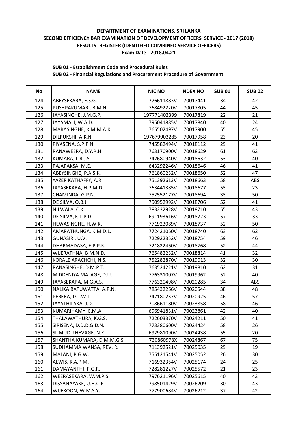#### **SUB 01 - Establishment Code and Procedural Rules**

| <b>No</b> | <b>NAME</b>                | <b>NIC NO</b> | <b>INDEX NO</b> | <b>SUB 01</b> | <b>SUB 02</b> |
|-----------|----------------------------|---------------|-----------------|---------------|---------------|
| 124       | ABEYSEKARA, E.S.G.         | 776611883V    | 70017441        | 34            | 42            |
| 125       | PUSHPAKUMARI, B.M.N.       | 768492220V    | 70017805        | 44            | 45            |
| 126       | JAYASINGHE, J.M.G.P.       | 197771402399  | 70017819        | 22            | 21            |
| 127       | JAYAMALI, W.A.D.           | 795041885V    | 70017840        | 40            | 24            |
| 128       | MARASINGHE, K.M.M.A.K.     | 765502497V    | 70017900        | 55            | 45            |
| 129       | DILRUKSHI, A.K.N.          | 197679903285  | 70017958        | 23            | 20            |
| 130       | PIYASENA, S.P.P.N.         | 745582494V    | 70018112        | 29            | 41            |
| 131       | RANAWEERA, D.Y.R.H.        | 763170900V    | 70018629        | 61            | 63            |
| 132       | KUMARA, L.R.J.S.           | 742680940V    | 70018632        | 53            | 40            |
| 133       | RAJAPAKSA, M.E.            | 643292246V    | 70018646        | 46            | 41            |
| 134       | ABEYSINGHE, P.A.S.K.       | 761860232V    | 70018650        | 52            | 47            |
| 135       | YAZER KATHAFFY, A.R.       | 751392613V    | 70018663        | 58            | ABS           |
| 136       | JAYASEKARA, H.P.M.D.       | 763441385V    | 70018677        | 53            | 23            |
| 137       | CHAMINDA, G.P.N.           | 752552177V    | 70018694        | 33            | 50            |
| 138       | DE SILVA, O.B.J.           | 750952992V    | 70018706        | 52            | 41            |
| 139       | NILWALA, C.K.              | 783232928V    | 70018710        | 55            | 43            |
| 140       | DE SILVA, K.T.P.D.         | 691193616V    | 70018723        | 57            | 33            |
| 141       | HEWASINGHE, H.W.K.         | 771923089V    | 70018737        | 52            | 50            |
| 142       | AMARATHUNGA, K.M.D.L.      | 772421060V    | 70018740        | 63            | 62            |
| 143       | GUNASIRI, U.V.             | 722922352V    | 70018754        | 59            | 46            |
| 144       | DHARMADASA, E.P.P.R.       | 721822460V    | 70018768        | 52            | 44            |
| 145       | WIJERATHNA, B.M.N.D.       | 765482232V    | 70018814        | 41            | 32            |
| 146       | KORALE ARACHCHI, N.S.      | 752282870V    | 70019013        | 32            | 30            |
| 147       | RANASINGHE, D.M.P.T.       | 763524221V    | 70019810        | 62            | 31            |
| 148       | MIDDENIYA MALAGE, D.U.     | 776331007V    | 70019962        | 52            | 40            |
| 149       | JAYASEKARA, M.G.A.S.       | 776320498V    | 70020285        | 34            | ABS           |
| 150       | NALIKA BATUWATTA, A.P.N.   | 785432266V    | 70020544        | 38            | 48            |
| 151       | PERERA, D.L.W.L.           | 747180237V    | 70020925        | 46            | 57            |
| 152       | JAYATHILAKA, J.D.          | 708661180V    | 70023858        | 58            | 46            |
| 153       | KUMARIHAMY, E.M.A.         | 696941831V    | 70023861        | 42            | 40            |
| 154       | THALAWATHURA, K.G.S.       | 722603370V    | 70024211        | 50            | 41            |
| 155       | SIRISENA, D.D.D.G.D.N.     | 773380600V    | 70024424        | 58            | 26            |
| 156       | SUMUDU HEVAGE, N.K.        | 692981090V    | 70024438        | 55            | 20            |
| 157       | SHANTHA KUMARA, D.M.M.G.S. | 730860978X    | 70024867        | 67            | 75            |
| 158       | SUDHAMMA WANSA, REV. R.    | 711392521V    | 70025035        | 29            | 19            |
| 159       | MALANI, P.G.W.             | 755121541V    | 70025052        | 26            | 30            |
| 160       | ALWIS, K.A.P.M.            | 716932354V    | 70025174        | 24            | 25            |
| 161       | DAMAYANTHI, P.G.R.         | 728281227V    | 70025572        | 21            | 23            |
| 162       | WEERASEKARA, W.M.P.S.      | 797621196V    | 70025615        | 40            | 43            |
| 163       | DISSANAYAKE, U.H.C.P.      | 798501429V    | 70026209        | 30            | 43            |
| 164       | WIJEKOON, W.M.S.Y.         | 777900684V    | 70026212        | 37            | 42            |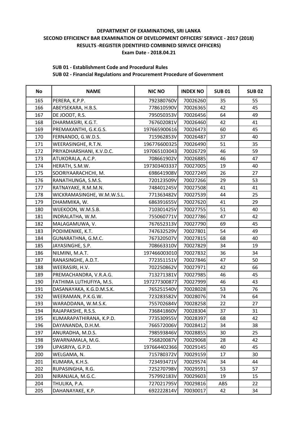#### **SUB 01 - Establishment Code and Procedural Rules**

| <b>No</b> | <b>NAME</b>                | <b>NIC NO</b> | <b>INDEX NO</b> | <b>SUB01</b> | <b>SUB02</b> |
|-----------|----------------------------|---------------|-----------------|--------------|--------------|
| 165       | PERERA, K.P.P.             | 792380760V    | 70026260        | 35           | 55           |
| 166       | ABEYSEKARA, H.B.S.         | 778610590V    | 70026365        | 42           | 45           |
| 167       | DE JOODT, R.S.             | 795050353V    | 70026456        | 64           | 49           |
| 168       | DHARMASIRI, K.G.T.         | 767602081V    | 70026460        | 42           | 41           |
| 169       | PREMAKANTHI, G.K.G.S.      | 197665900616  | 70026473        | 60           | 45           |
| 170       | FERNANDO, G.W.D.S.         | 715962853V    | 70026487        | 37           | 40           |
| 171       | WEERASINGHE, R.T.N.        | 196776600325  | 70026490        | 51           | 35           |
| 172       | PRIYADHARSHANI, K.V.D.C.   | 197065103043  | 70026729        | 46           | 59           |
| 173       | ATUKORALA, A.C.P.          | 708661902V    | 70026885        | 46           | 47           |
| 174       | HERATH, S.M.W.             | 197303403337  | 70027005        | 19           | 40           |
| 175       | SOORIYAARACHCHI, M.        | 698641908V    | 70027249        | 26           | 27           |
| 176       | RANATHUNGA, S.M.S.         | 720123509V    | 70027266        | 29           | 53           |
| 177       | RATNAYAKE, R.M.M.N.        | 748401245V    | 70027508        | 41           | 41           |
| 178       | WICKRAMASINGHE, W.M.W.S.L. | 771363482V    | 70027539        | 44           | 25           |
| 179       | DHAMMIKA, W.               | 686391655V    | 70027620        | 41           | 29           |
| 180       | WIJEKOON, W.M.S.B.         | 710301425V    | 70027755        | 51           | 40           |
| 181       | INDRALATHA, W.M.           | 755060771V    | 70027786        | 47           | 42           |
| 182       | MALAGAMUWA, V.             | 767652313V    | 70027790        | 69           | 45           |
| 183       | PODIMENIKE, K.T.           | 747632529V    | 70027801        | 54           | 49           |
| 184       | GUNARATHNA, G.M.C.         | 767320507V    | 70027815        | 68           | 40           |
| 185       | JAYASINGHE, S.P.           | 708663310V    | 70027829        | 34           | 19           |
| 186       | NILMINI, M.A.T.            | 197466003010  | 70027832        | 36           | 34           |
| 187       | RANASINGHE, A.D.T.         | 772351151V    | 70027846        | 47           | 50           |
| 188       | WEERASIRI, H.V.            | 702250862V    | 70027971        | 42           | 66           |
| 189       | PREMACHANDRA, V.R.A.G.     | 713271381V    | 70027985        | 46           | 45           |
| 190       | FATHIMA LUTHUFIYA, M.S.    | 197277300877  | 70027999        | 46           | 43           |
| 191       | DASANAYAKA, K.G.D.M.S.K.   | 765251540V    | 70028028        | 53           | 76           |
| 192       | WEERAMAN, P.K.G.W.         | 723283582V    | 70028076        | 74           | 64           |
| 193       | WARADDANA, W.M.S.K.        | 755702684V    | 70028258        | 22           | 27           |
| 194       | RAJAPAKSHE, R.S.S.         | 736841860V    | 70028304        | 37           | 31           |
| 195       | KUMARAPATHIRANA, K.P.D.    | 773530955V    | 70028397        | 68           | 42           |
| 196       | DAYANANDA, D.H.M.          | 766572006V    | 70028412        | 34           | 38           |
| 197       | ANURADHA, M.D.S.           | 798593846V    | 70028855        | 30           | 25           |
| 198       | SWARNAMALA, M.G.           | 756820087V    | 70029068        | 28           | 42           |
| 199       | UPASRIYA, G.P.D.           | 197664402366  | 70029145        | 40           | 45           |
| 200       | WELGAMA, N.                | 715780372V    | 70029159        | 17           | 30           |
| 201       | KUMARA, K.H.S.             | 723493471V    | 70029574        | 34           | 44           |
| 202       | RUPASINGHA, R.G.           | 725270798V    | 70029591        | 53           | 57           |
| 203       | NIRANJALA, M.G.C.          | 757992183V    | 70029603        | 19           | 15           |
| 204       | THULIKA, P.A.              | 727021795V    | 70029816        | ABS          | 22           |
| 205       | DAHANAYAKE, K.P.           | 692222814V    | 70030017        | 42           | 34           |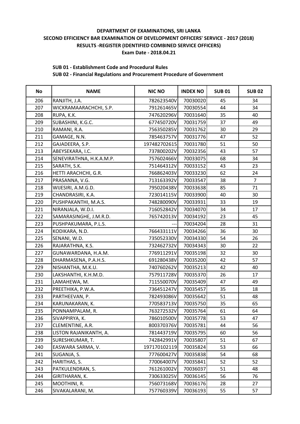### **SUB 01 - Establishment Code and Procedural Rules**

| <b>No</b> | <b>NAME</b>              | <b>NIC NO</b> | <b>INDEX NO</b> | <b>SUB01</b> | <b>SUB02</b>   |
|-----------|--------------------------|---------------|-----------------|--------------|----------------|
| 206       | RANJITH, J.A.            | 782623540V    | 70030020        | 45           | 34             |
| 207       | WICKRAMAARACHCHI, S.P.   | 791261465V    | 70030554        | 44           | 34             |
| 208       | RUPA, K.K.               | 747620296V    | 70031640        | 35           | 40             |
| 209       | SUBASHINI, K.G.C.        | 677450720V    | 70031759        | 37           | 49             |
| 210       | RAMANI, R.A.             | 756350285V    | 70031762        | 30           | 29             |
| 211       | GAMAGE, N.N.             | 785463757V    | 70031776        | 47           | 52             |
| 212       | GAJADEERA, S.P.          | 197482702615  | 70031780        | 51           | 50             |
| 213       | ABEYSEKARA, I.C.         | 737800202V    | 70032356        | 43           | 57             |
| 214       | SENEVIRATHNA, H.K.A.M.P. | 757602466V    | 70033075        | 68           | 34             |
| 215       | SARATH, S.K.             | 751464312V    | 70033152        | 43           | 23             |
| 216       | HETTI ARACHCHI, G.R.     | 766862403V    | 70033230        | 62           | 24             |
| 217       | PRASANNA, V.G.           | 713163392V    | 70033547        | 38           | $\overline{7}$ |
| 218       | WIJESIRI, A.M.G.D.       | 795020438V    | 70033638        | 85           | 71             |
| 219       | CHANDRASIRI, K.A.        | 723014115V    | 70033900        | 40           | 30             |
| 220       | PUSHPAKANTHI, M.A.S.     | 748280090V    | 70033931        | 33           | 19             |
| 221       | NIRANJALA, W.D.I.        | 716052842V    | 70034070        | 34           | 17             |
| 222       | SAMARASINGHE, J.M.R.D.   | 765742013V    | 70034192        | 23           | 45             |
| 223       | PUSHPAKUMARA, P.L.S.     |               | 70034204        | 28           | 31             |
| 224       | KODIKARA, N.D.           | 766433111V    | 70034266        | 36           | 30             |
| 225       | SENANI, W.D.             | 735052330V    | 70034330        | 54           | 26             |
| 226       | RAJARATHNA, K.S.         | 732462732V    | 70034343        | 30           | 22             |
| 227       | GUNAWARDANA, H.A.M.      | 776911291V    | 70035198        | 32           | 30             |
| 228       | DHARMASENA, P.A.H.S.     | 691280438V    | 70035200        | 42           | 57             |
| 229       | NISHANTHA, M.K.U.        | 740760262V    | 70035213        | 42           | 40             |
| 230       | LAKSHANTHI, K.H.M.D.     | 757911728V    | 70035370        | 26           | 17             |
| 231       | LAMAHEWA, M.             | 711550070V    | 70035409        | 47           | 49             |
| 232       | PREETHIKA, P.W.A.        | 736451247V    | 70035457        | 35           | 18             |
| 233       | PARTHEEVAN, P.           | 782493086V    | 70035642        | 51           | 48             |
| 234       | KARUNAKARAN, K.          | 770583713V    | 70035750        | 35           | 65             |
| 235       | PONNAMPALAM, R.          | 763272532V    | 70035764        | 61           | 64             |
| 236       | SIVAPPIRYA, K.           | 786010500V    | 70035778        | 53           | 47             |
| 237       | CLEMENTINE, A.R.         | 800370376V    | 70035781        | 44           | 56             |
| 238       | LISTON RAJANIKANTH, A.   | 781443719V    | 70035795        | 60           | 56             |
| 239       | SURESHKUMAR, T.          | 742842991V    | 70035807        | 51           | 67             |
| 240       | EASWARA SARMA, V.        | 197170102119  | 70035824        | 53           | 66             |
| 241       | SUGANJA, S.              | 777600427V    | 70035838        | 54           | 68             |
| 242       | HARITHAS, S.             | 770064007V    | 70035841        | 52           | 52             |
| 243       | PATKULENDRAN, S.         | 761261002V    | 70036037        | 51           | 48             |
| 244       | GIRITHARAN, K.           | 730633025V    | 70036145        | 56           | 76             |
| 245       | MOOTHINI, R.             | 756073168V    | 70036176        | 28           | 27             |
| 246       | SIVAKALARANI, M.         | 757760339V    | 70036193        | 55           | 57             |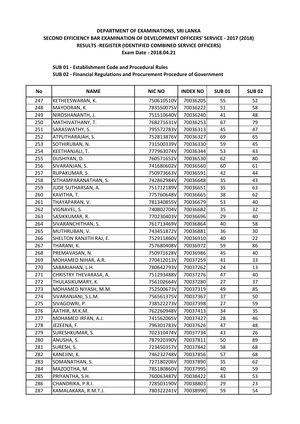#### **SUB 01 - Establishment Code and Procedural Rules**

| <b>No</b> | <b>NAME</b>             | <b>NIC NO</b> | <b>INDEX NO</b> | <b>SUB01</b> | <b>SUB02</b> |
|-----------|-------------------------|---------------|-----------------|--------------|--------------|
| 247       | KETHEESWARAN, K.        | 750610510V    | 70036205        | 55           | 52           |
| 248       | MAYOORAN, K.            | 783550075V    | 70036222        | 51           | 58           |
| 249       | NIROSHANANTH, J.        | 751510640V    | 70036240        | 41           | 48           |
| 250       | MATHIVATHANY, T.        | 768271631V    | 70036253        | 67           | 79           |
| 251       | SARASWATHY, S.          | 795572783V    | 70036313        | 45           | 47           |
| 252       | ATPUTHARAJAH, S.        | 752813876V    | 70036327        | 69           | 65           |
| 253       | SOTHIRUBAN, N.          | 731500339V    | 70036330        | 59           | 45           |
| 254       | KEETHANJALI, T.         | 777963074V    | 70036344        | 53           | 43           |
| 255       | DUSHIYAN, D.            | 760571652V    | 70036530        | 62           | 80           |
| 256       | SIVARANJAN, S.          | 741680602V    | 70036560        | 60           | 61           |
| 257       | RUPAKUMAR, S.           | 750973663V    | 70036591        | 42           | 44           |
| 258       | SITHAMPARANATHAN, S.    | 742862984V    | 70036648        | 35           | 43           |
| 259       | JUDE SUTHARSAN, A.      | 751712189V    | 70036651        | 35           | 63           |
| 260       | KAVITHA, T.             | 775760648V    | 70036665        | 38           | 62           |
| 261       | THAYAPARAN, V.          | 781340855V    | 70036679        | 53           | 40           |
| 262       | VIGNAVEL, S.            | 740802704V    | 70036682        | 35           | 32           |
| 263       | SASIKKUMAR, R.          | 770230403V    | 70036696        | 29           | 40           |
| 264       | SIVARANCHITHAN, S.      | 761713469V    | 70036864        | 40           | 58           |
| 265       | MUTHRUBAN, V.           | 743451872V    | 70036881        | 36           | 30           |
| 266       | SHELTON RANJITH RAJ, E. | 752911860V    | 70036910        | 40           | 22           |
| 267       | THARANI, K.             | 757680408V    | 70036972        | 59           | 86           |
| 268       | PREMAVASAN, N.          | 750971628V    | 70036986        | 45           | 40           |
| 269       | MOHAMED NIHAR, A.R.     | 770412013V    | 70037259        | 41           | 33           |
| 270       | SABARJAHAN, L.H.        | 780642793V    | 70037262        | 24           | 13           |
| 271       | CHRISTRY THEVARASA, A.  | 751293488V    | 70037276        | 47           | 40           |
| 272       | THULASIKUMARY, K.       | 756102664V    | 70037280        | 27           | 37           |
| 273       | MOHAMED NIYASH, M.M.    | 752500673V    | 70037319        | 49           | 85           |
| 274       | SIVARANJANI, S.L.M.     | 756561375V    | 70037367        | 37           | 50           |
| 275       | SIVAGOWRI, P.           | 738522273V    | 70037398        | 27           | 59           |
| 276       | AATHIR, M.K.M.          | 762260948V    | 70037413        | 34           | 35           |
| 277       | MOHAMED IRFAN, A.J.     | 741562065V    | 70037427        | 28           | 46           |
| 278       | JEZEENA, F.             | 796301783V    | 70037626        | 47           | 48           |
| 279       | SURESHKUMAR, S.         | 702310474V    | 70037734        | 43           | 26           |
| 280       | ANUSHA, S.              | 787920390V    | 70037811        | 50           | 89           |
| 281       | SURESH, S.              | 723450357V    | 70037842        | 58           | 68           |
| 282       | KANEJINI, K.            | 746232748V    | 70037856        | 57           | 68           |
| 283       | SOMANATHAN, S.          | 727180206V    | 70037890        | 35           | 62           |
| 284       | MAZOOTHA, M.            | 785180860V    | 70037995        | 40           | 59           |
| 285       | PRIYANTHA, S.H.         | 760063487V    | 70038422        | 43           | 53           |
| 286       | CHANDRIKA, P.R.I.       | 728503190V    | 70038803        | 29           | 23           |
| 287       | KAMALAKARA, R.M.T.J.    | 780322241V    | 70038990        | 59           | 54           |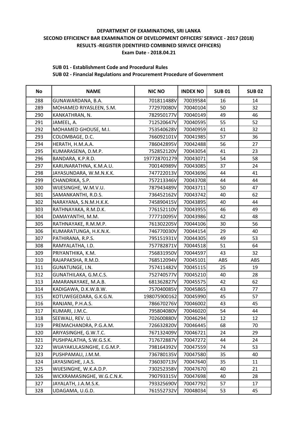## **SUB 01 - Establishment Code and Procedural Rules**

| <b>No</b> | <b>NAME</b>                | <b>NIC NO</b> | <b>INDEX NO</b> | <b>SUB01</b> | <b>SUB02</b> |
|-----------|----------------------------|---------------|-----------------|--------------|--------------|
| 288       | GUNAWARDANA, B.A.          | 701811488V    | 70039584        | 16           | 14           |
| 289       | MOHAMED RIYASLEEN, S.M.    | 772970080V    | 70040104        | 50           | 32           |
| 290       | KANKATHRAN, N.             | 782950177V    | 70040149        | 49           | 46           |
| 291       | JAMEEL, A.                 | 712520647V    | 70040595        | 55           | 52           |
| 292       | MOHAMED GHOUSE, M.I.       | 753540628V    | 70040959        | 41           | 32           |
| 293       | COLOMBAGE, D.C.            | 766092101V    | 70041985        | 57           | 36           |
| 294       | HERATH, H.M.A.A.           | 786042895V    | 70042488        | 56           | 27           |
| 295       | KUMARASENA, D.M.P.         | 752852120V    | 70043054        | 41           | 23           |
| 296       | BANDARA, K.P.R.D.          | 197728701279  | 70043071        | 54           | 58           |
| 297       | KARUNARATHNA, K.M.A.U.     | 700140989V    | 70043085        | 37           | 24           |
| 298       | JAYASUNDARA, W.M.N.K.K.    | 747722013V    | 70043696        | 44           | 41           |
| 299       | CHANDRIKA, S.P.            | 757213346V    | 70043708        | 44           | 44           |
| 300       | WIJESINGHE, W.M.V.U.       | 787943489V    | 70043711        | 50           | 47           |
| 301       | SAMANKANTHI, R.D.S.        | 736452162V    | 70043742        | 40           | 62           |
| 302       | NARAYANA, S.N.M.H.K.K.     | 745890415V    | 70043895        | 40           | 44           |
| 303       | RATHNAYAKA, R.M.D.K.       | 776152110V    | 70043955        | 46           | 49           |
| 304       | DAMAYANTHI, M.M.           | 777710095V    | 70043986        | 42           | 48           |
| 305       | RATHNAYAKE, R.M.M.P.       | 761302205V    | 70044106        | 30           | 56           |
| 306       | KUMARATUNGA, H.K.N.K.      | 746770030V    | 70044154        | 29           | 40           |
| 307       | PATHIRANA, R.P.S.          | 795151931V    | 70044305        | 49           | 53           |
| 308       | RAMYALATHA, I.D.           | 757782871V    | 70044518        | 51           | 64           |
| 309       | PRIYANTHIKA, K.M.          | 756831950V    | 70044597        | 43           | 32           |
| 310       | RAJAPAKSHA, R.M.D.         | 768512094V    | 70045101        | ABS          | ABS          |
| 311       | GUNATUNGE, I.N.            | 757411482V    | 70045115        | 25           | 19           |
| 312       | GUNATHILAKA, G.M.C.S.      | 752740577V    | 70045210        | 40           | 28           |
| 313       | AMARANAYAKE, M.A.B.        | 681362827V    | 70045575        | 42           | 62           |
| 314       | KADIGAWA, D.K.W.B.W.       | 757040085V    | 70045865        | 43           | 77           |
| 315       | KOTUWEGEDARA, G.K.G.N.     | 198075900162  | 70045990        | 45           | 57           |
| 316       | RANJANI, P.H.A.S.          | 786670276V    | 70046002        | 43           | 45           |
| 317       | KUMARI, J.M.C.             | 795804080V    | 70046020        | 54           | 44           |
| 318       | SEEWALI, REV. U.           | 702600880V    | 70046294        | 12           | 12           |
| 319       | PREMACHANDRA, P.G.A.M.     | 726632820V    | 70046445        | 68           | 70           |
| 320       | ARIYASINGHE, G.W.T.C.      | 767132409V    | 70046721        | 24           | 29           |
| 321       | PUSHPALATHA, S.W.G.S.K.    | 717672887V    | 70047272        | 44           | 24           |
| 322       | WIJAYAKULASINGHE, E.G.M.P. | 798164392V    | 70047559        | 74           | 53           |
| 323       | PUSHPAMALI, J.M.M.         | 736780135V    | 70047580        | 35           | 40           |
| 324       | JAYASINGHE, J.A.S.         | 736030713V    | 70047640        | 35           | 11           |
| 325       | WIJESINGHE, W.K.A.D.P.     | 730252358V    | 70047670        | 40           | 21           |
| 326       | WICKRAMASINGHE, W.G.C.N.K. | 790793315V    | 70047698        | 40           | 28           |
| 327       | JAYALATH, J.A.M.S.K.       | 793325690V    | 70047792        | 57           | 17           |
| 328       | UDAGAMA, U.G.D.            | 761552732V    | 70048034        | 53           | 45           |